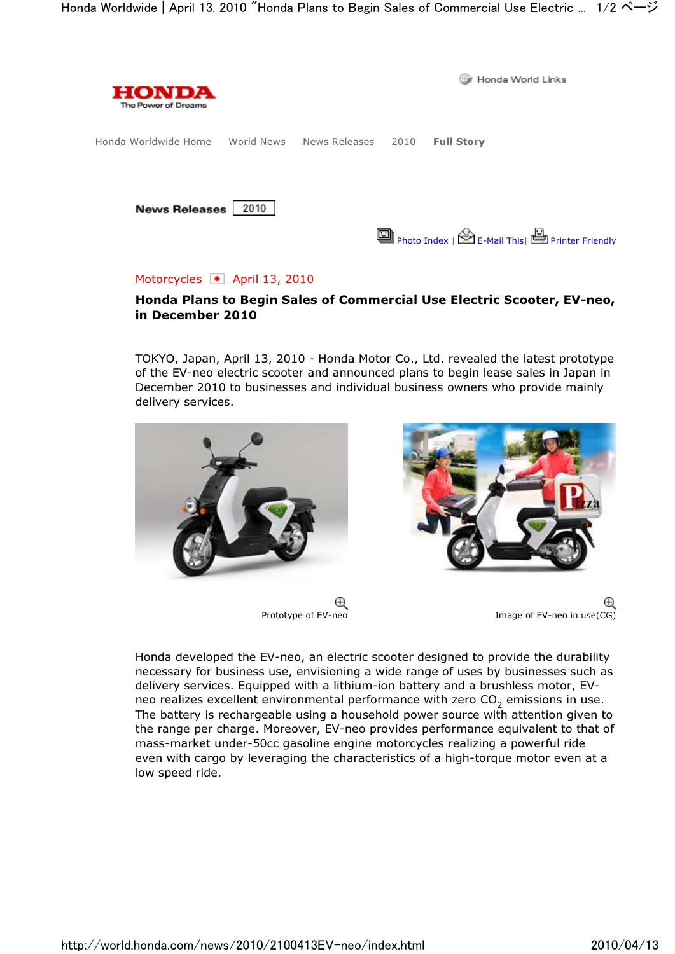

## Motorcycles • April 13, 2010

## Honda Plans to Begin Sales of Commercial Use Electric Scooter, EV-neo, in December 2010

TOKYO, Japan, April 13, 2010 - Honda Motor Co., Ltd. revealed the latest prototype of the EV-neo electric scooter and announced plans to begin lease sales in Japan in December 2010 to businesses and individual business owners who provide mainly delivery services.



Θ



Prototype of EV-neo Image of EV-neo in use (CG)

Honda developed the EV-neo, an electric scooter designed to provide the durability necessary for business use, envisioning a wide range of uses by businesses such as delivery services. Equipped with a lithium-ion battery and a brushless motor, EVneo realizes excellent environmental performance with zero  $\mathsf{CO}_2$  emissions in use. The battery is rechargeable using a household power source with attention given to the range per charge. Moreover, EV-neo provides performance equivalent to that of mass-market under-50cc gasoline engine motorcycles realizing a powerful ride even with cargo by leveraging the characteristics of a high-torque motor even at a low speed ride.